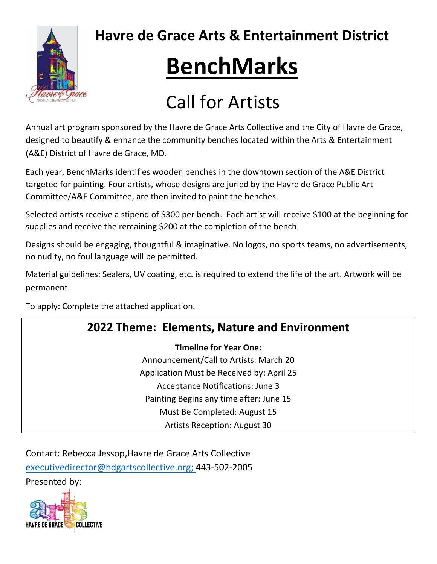

**Havre de Grace Arts & Entertainment District**

# **BenchMarks**

## Call for Artists

Annual art program sponsored by the Havre de Grace Arts Collective and the City of Havre de Grace, designed to beautify & enhance the community benches located within the Arts & Entertainment (A&E) District of Havre de Grace, MD.

Each year, BenchMarks identifies wooden benches in the downtown section of the A&E District targeted for painting. Four artists, whose designs are juried by the Havre de Grace Public Art Committee/A&E Committee, are then invited to paint the benches.

Selected artists receive a stipend of \$300 per bench. Each artist will receive \$100 at the beginning for supplies and receive the remaining \$200 at the completion of the bench.

Designs should be engaging, thoughtful & imaginative. No logos, no sports teams, no advertisements, no nudity, no foul language will be permitted.

Material guidelines: Sealers, UV coating, etc. is required to extend the life of the art. Artwork will be permanent.

To apply: Complete the attached application.

### **2022 Theme: Elements, Nature and Environment**

#### **Timeline for Year One:**

Announcement/Call to Artists: March 20 Application Must be Received by: April 25 Acceptance Notifications: June 3 Painting Begins any time after: June 15 Must Be Completed: August 15 Artists Reception: August 30

Contact: Rebecca Jessop,Havre de Grace Arts Collective [executivedirector@hdgartscollective.org;](mailto:executivedirector@hdgartscollective.org) 443-502-2005 Presented by: